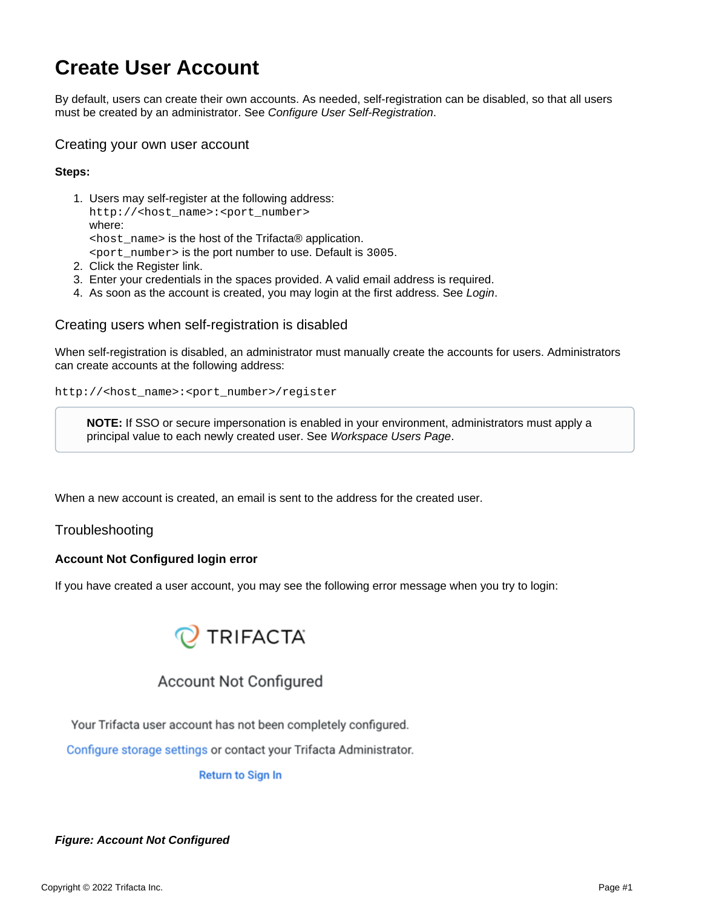# **Create User Account**

By default, users can create their own accounts. As needed, self-registration can be disabled, so that all users must be created by an administrator. See [Configure User Self-Registration](https://docs.trifacta.com/display/r087/Configure+User+Self-Registration).

### Creating your own user account

#### **Steps:**

- 1. Users may self-register at the following address: http://<host\_name>:<port\_number> where:  $\epsilon$  host name is the host of the Trifacta® application. <port\_number> is the port number to use. Default is 3005.
- 2. Click the Register link.
- 3. Enter your credentials in the spaces provided. A valid email address is required.
- 4. As soon as the account is created, you may login at the first address. See [Login](https://docs.trifacta.com/display/r087/Login).

### Creating users when self-registration is disabled

When self-registration is disabled, an administrator must manually create the accounts for users. Administrators can create accounts at the following address:

```
http://<host_name>:<port_number>/register
```
**NOTE:** If SSO or secure impersonation is enabled in your environment, administrators must apply a principal value to each newly created user. See [Workspace Users Page](https://docs.trifacta.com/display/r087/Workspace+Users+Page).

When a new account is created, an email is sent to the address for the created user.

### Troubleshooting

### **Account Not Configured login error**

If you have created a user account, you may see the following error message when you try to login:



## **Account Not Configured**

Your Trifacta user account has not been completely configured.

Configure storage settings or contact your Trifacta Administrator.

**Return to Sign In** 

### **Figure: Account Not Configured**